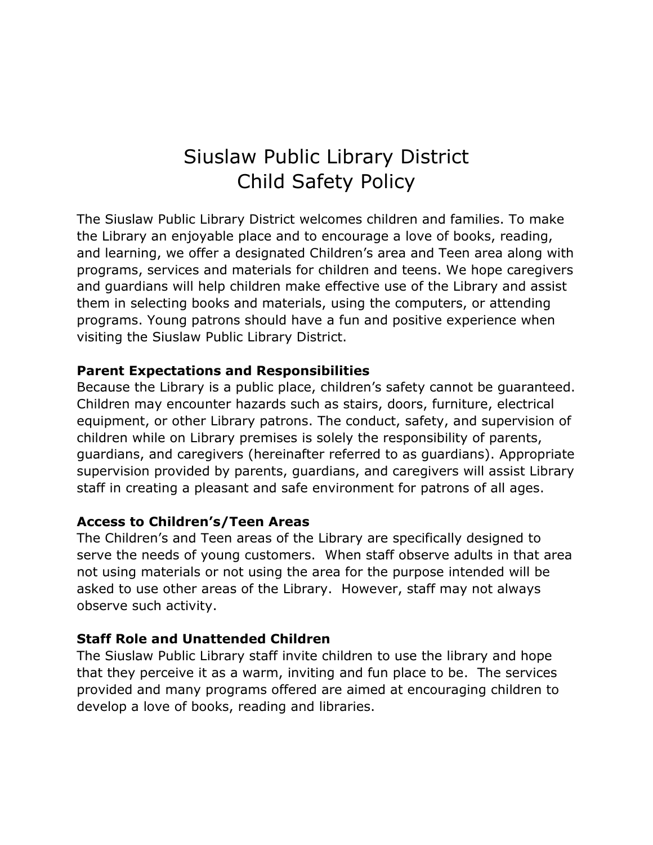# Siuslaw Public Library District Child Safety Policy

The Siuslaw Public Library District welcomes children and families. To make the Library an enjoyable place and to encourage a love of books, reading, and learning, we offer a designated Children's area and Teen area along with programs, services and materials for children and teens. We hope caregivers and guardians will help children make effective use of the Library and assist them in selecting books and materials, using the computers, or attending programs. Young patrons should have a fun and positive experience when visiting the Siuslaw Public Library District.

### **Parent Expectations and Responsibilities**

Because the Library is a public place, children's safety cannot be guaranteed. Children may encounter hazards such as stairs, doors, furniture, electrical equipment, or other Library patrons. The conduct, safety, and supervision of children while on Library premises is solely the responsibility of parents, guardians, and caregivers (hereinafter referred to as guardians). Appropriate supervision provided by parents, guardians, and caregivers will assist Library staff in creating a pleasant and safe environment for patrons of all ages.

# **Access to Children's/Teen Areas**

The Children's and Teen areas of the Library are specifically designed to serve the needs of young customers. When staff observe adults in that area not using materials or not using the area for the purpose intended will be asked to use other areas of the Library. However, staff may not always observe such activity.

# **Staff Role and Unattended Children**

The Siuslaw Public Library staff invite children to use the library and hope that they perceive it as a warm, inviting and fun place to be. The services provided and many programs offered are aimed at encouraging children to develop a love of books, reading and libraries.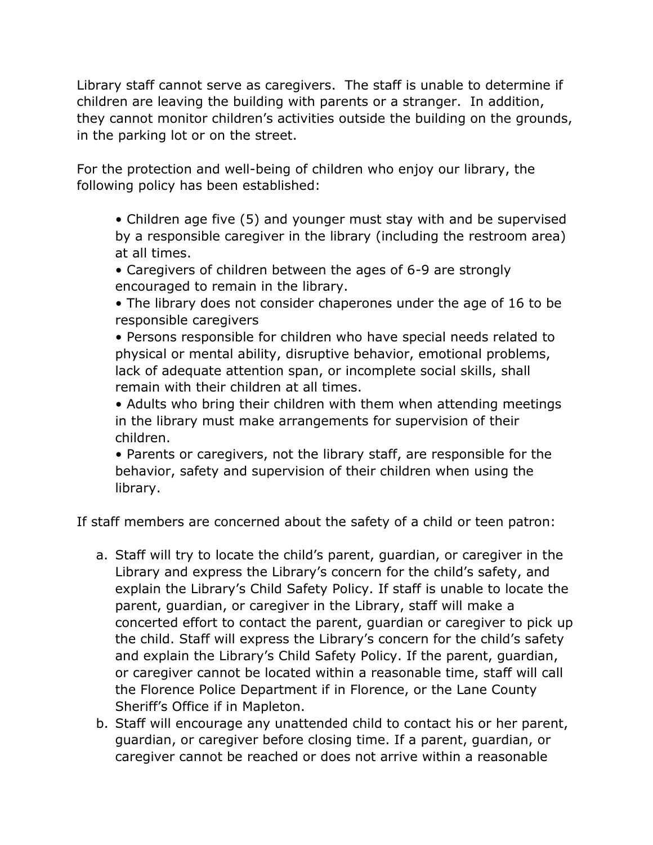Library staff cannot serve as caregivers. The staff is unable to determine if children are leaving the building with parents or a stranger. In addition, they cannot monitor children's activities outside the building on the grounds, in the parking lot or on the street.

For the protection and well-being of children who enjoy our library, the following policy has been established:

• Children age five (5) and younger must stay with and be supervised by a responsible caregiver in the library (including the restroom area) at all times.

- Caregivers of children between the ages of 6-9 are strongly encouraged to remain in the library.
- The library does not consider chaperones under the age of 16 to be responsible caregivers

• Persons responsible for children who have special needs related to physical or mental ability, disruptive behavior, emotional problems, lack of adequate attention span, or incomplete social skills, shall remain with their children at all times.

• Adults who bring their children with them when attending meetings in the library must make arrangements for supervision of their children.

• Parents or caregivers, not the library staff, are responsible for the behavior, safety and supervision of their children when using the library.

If staff members are concerned about the safety of a child or teen patron:

- a. Staff will try to locate the child's parent, guardian, or caregiver in the Library and express the Library's concern for the child's safety, and explain the Library's Child Safety Policy. If staff is unable to locate the parent, guardian, or caregiver in the Library, staff will make a concerted effort to contact the parent, guardian or caregiver to pick up the child. Staff will express the Library's concern for the child's safety and explain the Library's Child Safety Policy. If the parent, guardian, or caregiver cannot be located within a reasonable time, staff will call the Florence Police Department if in Florence, or the Lane County Sheriff's Office if in Mapleton.
- b. Staff will encourage any unattended child to contact his or her parent, guardian, or caregiver before closing time. If a parent, guardian, or caregiver cannot be reached or does not arrive within a reasonable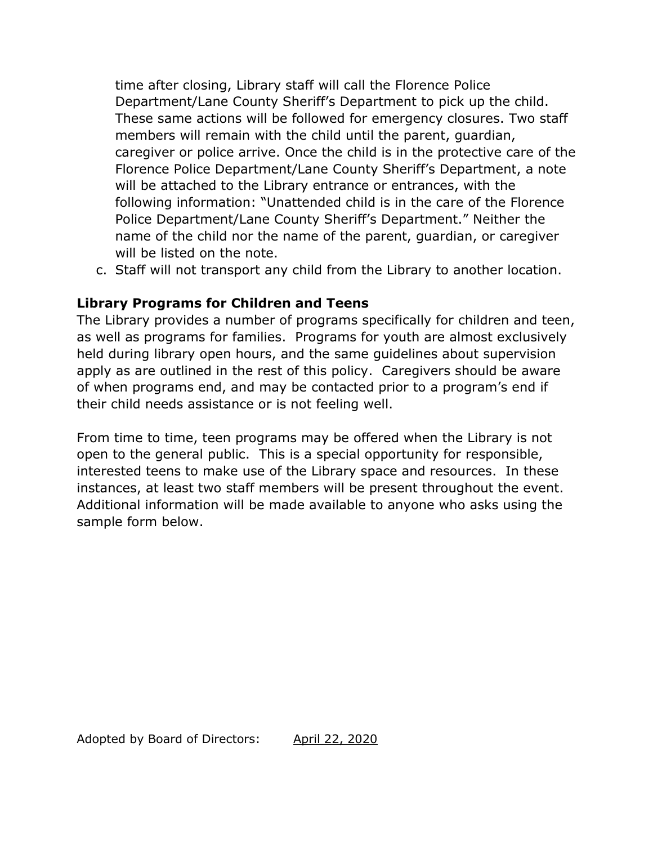time after closing, Library staff will call the Florence Police Department/Lane County Sheriff's Department to pick up the child. These same actions will be followed for emergency closures. Two staff members will remain with the child until the parent, guardian, caregiver or police arrive. Once the child is in the protective care of the Florence Police Department/Lane County Sheriff's Department, a note will be attached to the Library entrance or entrances, with the following information: "Unattended child is in the care of the Florence Police Department/Lane County Sheriff's Department." Neither the name of the child nor the name of the parent, guardian, or caregiver will be listed on the note.

c. Staff will not transport any child from the Library to another location.

# **Library Programs for Children and Teens**

The Library provides a number of programs specifically for children and teen, as well as programs for families. Programs for youth are almost exclusively held during library open hours, and the same guidelines about supervision apply as are outlined in the rest of this policy. Caregivers should be aware of when programs end, and may be contacted prior to a program's end if their child needs assistance or is not feeling well.

From time to time, teen programs may be offered when the Library is not open to the general public. This is a special opportunity for responsible, interested teens to make use of the Library space and resources. In these instances, at least two staff members will be present throughout the event. Additional information will be made available to anyone who asks using the sample form below.